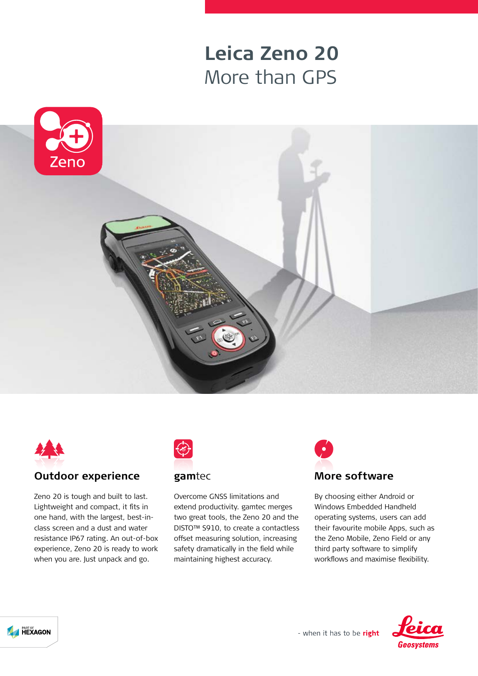## **Leica Zeno 20** More than GPS





## **Outdoor experience**

Zeno 20 is tough and built to last. Lightweight and compact, it fits in one hand, with the largest, best-inclass screen and a dust and water resistance IP67 rating. An out-of-box experience, Zeno 20 is ready to work when you are. Just unpack and go.



## **gam**tec

Overcome GNSS limitations and extend productivity. gamtec merges two great tools, the Zeno 20 and the DISTO™ S910, to create a contactless offset measuring solution, increasing safety dramatically in the field while maintaining highest accuracy.



By choosing either Android or Windows Embedded Handheld operating systems, users can add their favourite mobile Apps, such as the Zeno Mobile, Zeno Field or any third party software to simplify workflows and maximise flexibility.